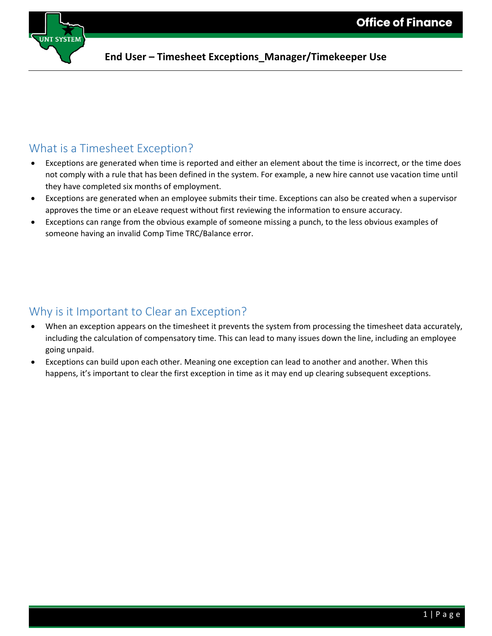

#### What is a Timesheet Exception?

- Exceptions are generated when time is reported and either an element about the time is incorrect, or the time does not comply with a rule that has been defined in the system. For example, a new hire cannot use vacation time until they have completed six months of employment.
- Exceptions are generated when an employee submits their time. Exceptions can also be created when a supervisor approves the time or an eLeave request without first reviewing the information to ensure accuracy.
- Exceptions can range from the obvious example of someone missing a punch, to the less obvious examples of someone having an invalid Comp Time TRC/Balance error.

#### Why is it Important to Clear an Exception?

- When an exception appears on the timesheet it prevents the system from processing the timesheet data accurately, including the calculation of compensatory time. This can lead to many issues down the line, including an employee going unpaid.
- Exceptions can build upon each other. Meaning one exception can lead to another and another. When this happens, it's important to clear the first exception in time as it may end up clearing subsequent exceptions.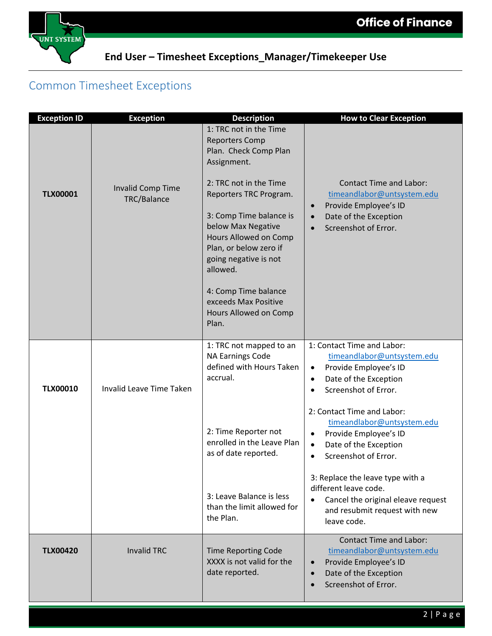

# Common Timesheet Exceptions

| <b>Exception ID</b> | <b>Exception</b>                 | <b>Description</b>                                                                                                                                                                                                                                                                                                                                                     | <b>How to Clear Exception</b>                                                                                                                                                                                                                                                                                                |
|---------------------|----------------------------------|------------------------------------------------------------------------------------------------------------------------------------------------------------------------------------------------------------------------------------------------------------------------------------------------------------------------------------------------------------------------|------------------------------------------------------------------------------------------------------------------------------------------------------------------------------------------------------------------------------------------------------------------------------------------------------------------------------|
| <b>TLX00001</b>     | Invalid Comp Time<br>TRC/Balance | 1: TRC not in the Time<br><b>Reporters Comp</b><br>Plan. Check Comp Plan<br>Assignment.<br>2: TRC not in the Time<br>Reporters TRC Program.<br>3: Comp Time balance is<br>below Max Negative<br>Hours Allowed on Comp<br>Plan, or below zero if<br>going negative is not<br>allowed.<br>4: Comp Time balance<br>exceeds Max Positive<br>Hours Allowed on Comp<br>Plan. | <b>Contact Time and Labor:</b><br>timeandlabor@untsystem.edu<br>Provide Employee's ID<br>$\bullet$<br>Date of the Exception<br>Screenshot of Error.                                                                                                                                                                          |
| <b>TLX00010</b>     | <b>Invalid Leave Time Taken</b>  | 1: TRC not mapped to an<br><b>NA Earnings Code</b><br>defined with Hours Taken<br>accrual.<br>2: Time Reporter not<br>enrolled in the Leave Plan<br>as of date reported.                                                                                                                                                                                               | 1: Contact Time and Labor:<br>timeandlabor@untsystem.edu<br>Provide Employee's ID<br>$\bullet$<br>Date of the Exception<br>$\bullet$<br>Screenshot of Error.<br>2: Contact Time and Labor:<br>timeandlabor@untsystem.edu<br>Provide Employee's ID<br>$\bullet$<br>Date of the Exception<br>$\bullet$<br>Screenshot of Error. |
|                     |                                  | 3: Leave Balance is less<br>than the limit allowed for<br>the Plan.                                                                                                                                                                                                                                                                                                    | 3: Replace the leave type with a<br>different leave code.<br>Cancel the original eleave request<br>and resubmit request with new<br>leave code.                                                                                                                                                                              |
| <b>TLX00420</b>     | <b>Invalid TRC</b>               | <b>Time Reporting Code</b><br>XXXX is not valid for the<br>date reported.                                                                                                                                                                                                                                                                                              | <b>Contact Time and Labor:</b><br>timeandlabor@untsystem.edu<br>Provide Employee's ID<br>Date of the Exception<br>Screenshot of Error.                                                                                                                                                                                       |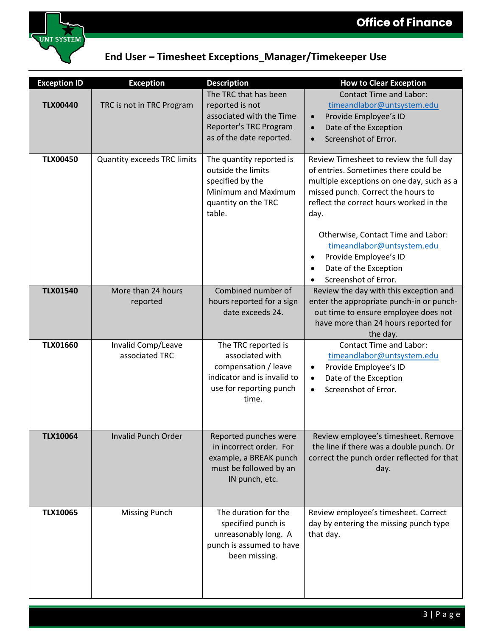

| <b>Exception ID</b> | <b>Exception</b>                     | <b>Description</b>                                                                                                                | <b>How to Clear Exception</b>                                                                                                                                                                                         |
|---------------------|--------------------------------------|-----------------------------------------------------------------------------------------------------------------------------------|-----------------------------------------------------------------------------------------------------------------------------------------------------------------------------------------------------------------------|
| <b>TLX00440</b>     | TRC is not in TRC Program            | The TRC that has been<br>reported is not<br>associated with the Time<br>Reporter's TRC Program<br>as of the date reported.        | <b>Contact Time and Labor:</b><br>timeandlabor@untsystem.edu<br>Provide Employee's ID<br>Date of the Exception<br>$\bullet$<br>Screenshot of Error.                                                                   |
| <b>TLX00450</b>     | <b>Quantity exceeds TRC limits</b>   | The quantity reported is<br>outside the limits<br>specified by the<br>Minimum and Maximum<br>quantity on the TRC<br>table.        | Review Timesheet to review the full day<br>of entries. Sometimes there could be<br>multiple exceptions on one day, such as a<br>missed punch. Correct the hours to<br>reflect the correct hours worked in the<br>day. |
|                     |                                      |                                                                                                                                   | Otherwise, Contact Time and Labor:<br>timeandlabor@untsystem.edu<br>Provide Employee's ID<br>$\bullet$<br>Date of the Exception<br>Screenshot of Error.                                                               |
| <b>TLX01540</b>     | More than 24 hours<br>reported       | Combined number of<br>hours reported for a sign<br>date exceeds 24.                                                               | Review the day with this exception and<br>enter the appropriate punch-in or punch-<br>out time to ensure employee does not<br>have more than 24 hours reported for<br>the day.                                        |
| <b>TLX01660</b>     | Invalid Comp/Leave<br>associated TRC | The TRC reported is<br>associated with<br>compensation / leave<br>indicator and is invalid to<br>use for reporting punch<br>time. | <b>Contact Time and Labor:</b><br>timeandlabor@untsystem.edu<br>Provide Employee's ID<br>Date of the Exception<br>$\bullet$<br>Screenshot of Error.<br>$\bullet$                                                      |
| <b>TLX10064</b>     | <b>Invalid Punch Order</b>           | Reported punches were<br>in incorrect order. For<br>example, a BREAK punch<br>must be followed by an<br>IN punch, etc.            | Review employee's timesheet. Remove<br>the line if there was a double punch. Or<br>correct the punch order reflected for that<br>day.                                                                                 |
| <b>TLX10065</b>     | <b>Missing Punch</b>                 | The duration for the<br>specified punch is<br>unreasonably long. A<br>punch is assumed to have<br>been missing.                   | Review employee's timesheet. Correct<br>day by entering the missing punch type<br>that day.                                                                                                                           |